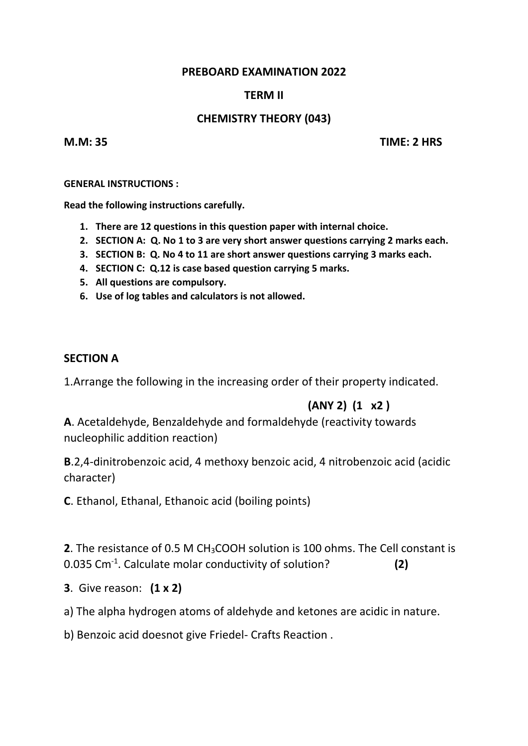#### **PREBOARD EXAMINATION 2022**

# **TERM II**

# **CHEMISTRY THEORY (043)**

**M.M: 35 TIME: 2 HRS**

**GENERAL INSTRUCTIONS :**

**Read the following instructions carefully.**

- **1. There are 12 questions in this question paper with internal choice.**
- **2. SECTION A: Q. No 1 to 3 are very short answer questions carrying 2 marks each.**
- **3. SECTION B: Q. No 4 to 11 are short answer questions carrying 3 marks each.**
- **4. SECTION C: Q.12 is case based question carrying 5 marks.**
- **5. All questions are compulsory.**
- **6. Use of log tables and calculators is not allowed.**

# **SECTION A**

1.Arrange the following in the increasing order of their property indicated.

# **(ANY 2) (1 x2 )**

**A**. Acetaldehyde, Benzaldehyde and formaldehyde (reactivity towards nucleophilic addition reaction)

**B**.2,4-dinitrobenzoic acid, 4 methoxy benzoic acid, 4 nitrobenzoic acid (acidic character)

**C**. Ethanol, Ethanal, Ethanoic acid (boiling points)

**2**. The resistance of 0.5 M CH3COOH solution is 100 ohms. The Cell constant is 0.035 Cm-1 . Calculate molar conductivity of solution? **(2)**

- **3**. Give reason: **(1 x 2)**
- a) The alpha hydrogen atoms of aldehyde and ketones are acidic in nature.

b) Benzoic acid doesnot give Friedel- Crafts Reaction .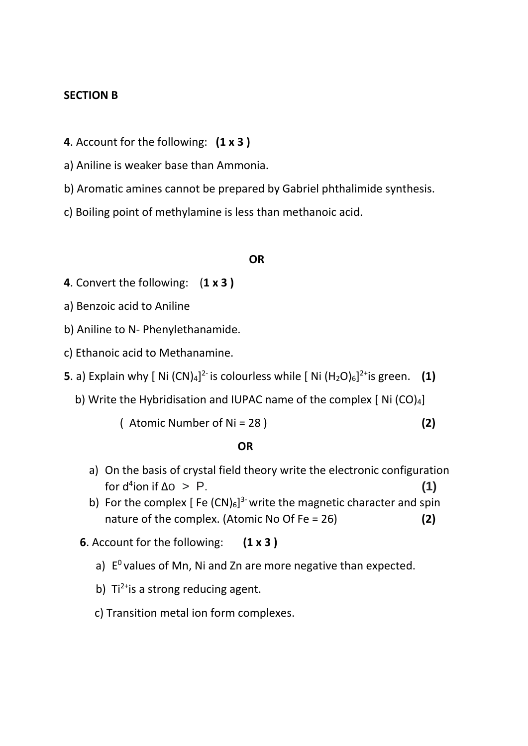#### **SECTION B**

- **4**. Account for the following: **(1 x 3 )**
- a) Aniline is weaker base than Ammonia.
- b) Aromatic amines cannot be prepared by Gabriel phthalimide synthesis.
- c) Boiling point of methylamine is less than methanoic acid.

#### **OR**

- **4**. Convert the following: (**1 x 3 )**
- a) Benzoic acid to Aniline
- b) Aniline to N- Phenylethanamide.
- c) Ethanoic acid to Methanamine.
- **5**. a) Explain why [ Ni (CN)<sub>4</sub>]<sup>2-</sup> is colourless while [ Ni (H<sub>2</sub>O)<sub>6</sub>]<sup>2+</sup>is green. (1)
	- b) Write the Hybridisation and IUPAC name of the complex  $[$  Ni  $(CO)_4]$ 
		- ( Atomic Number of Ni = 28 ) **(2)**

# *OR* OR

- a) On the basis of crystal field theory write the electronic configuration  $\int$  for d<sup>4</sup>ion if  $\Delta$ o > P. **(1)**
- b) For the complex [Fe  $(CN)_6$ ]<sup>3-</sup> write the magnetic character and spin nature of the complex. (Atomic No Of Fe = 26) **(2)**
- **6**. Account for the following: **(1 x 3 )**
	- a)  $E^0$  values of Mn, Ni and Zn are more negative than expected.
	- b)  $Ti^{2+}$ is a strong reducing agent.
	- c) Transition metal ion form complexes.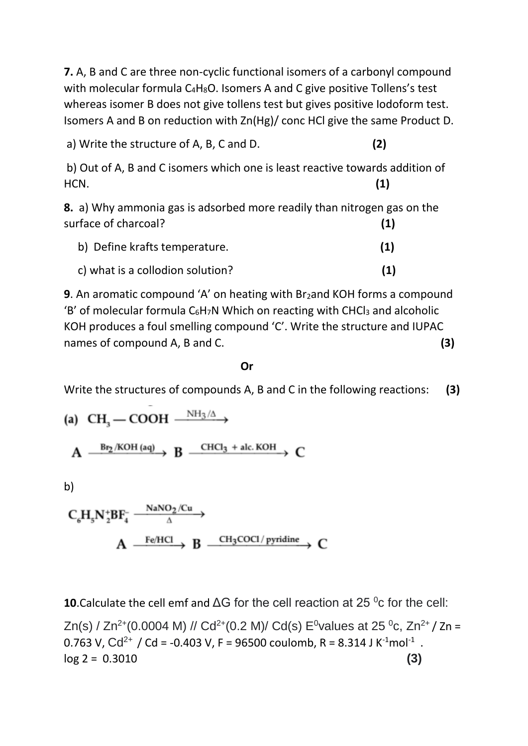**7.** A, B and C are three non-cyclic functional isomers of a carbonyl compound with molecular formula  $C_4H_8O$ . Isomers A and C give positive Tollens's test whereas isomer B does not give tollens test but gives positive Iodoform test. Isomers A and B on reduction with Zn(Hg)/ conc HCl give the same Product D.

a) Write the structure of A, B, C and D. **(2)**

b) Out of A, B and C isomers which one is least reactive towards addition of HCN. **(1)**

**8.** a) Why ammonia gas is adsorbed more readily than nitrogen gas on the surface of charcoal? **(1)**

| b) Define krafts temperature.    | (1) |
|----------------------------------|-----|
| c) what is a collodion solution? | (1) |

**9**. An aromatic compound 'A' on heating with Br<sub>2</sub>and KOH forms a compound 'B' of molecular formula  $C_6H_7N$  Which on reacting with CHCl<sub>3</sub> and alcoholic KOH produces a foul smelling compound 'C'. Write the structure and IUPAC names of compound A, B and C. **(3)**

# **Or Or Or**

Write the structures of compounds A, B and C in the following reactions: **(3)**

(a) 
$$
CH_3
$$
 — COOH  $\xrightarrow{\text{NH}_3/\Delta}$ 

 $\frac{Br_2/KOH(aq)}{H}$  B  $\frac{CHCl_3 + \text{alc.KOH}}{H}$  C

b)

$$
\begin{array}{ccc}\nC_{6}H_{5}N_{2}^{+}BF_{4}^{-} & \xrightarrow{\text{NaNO}_{2}/Cu} & \\
A & \xrightarrow{Fe/HCl} & B & \xrightarrow{CH_{3}COCl/pyridine} & C\n\end{array}
$$

**10**. Calculate the cell emf and ΔG for the cell reaction at 25 <sup>o</sup>c for the cell:

Zn(s) / Zn<sup>2+</sup>(0.0004 M) // Cd<sup>2+</sup>(0.2 M)/ Cd(s)  $E^{0}$ values at 25<sup>0</sup>c, Zn<sup>2+</sup>/ Zn = 0.763 V,  $Cd^{2+}$  / Cd = -0.403 V, F = 96500 coulomb, R = 8.314 J K<sup>-1</sup>mol<sup>-1</sup>.  $\log 2 = 0.3010$  (3)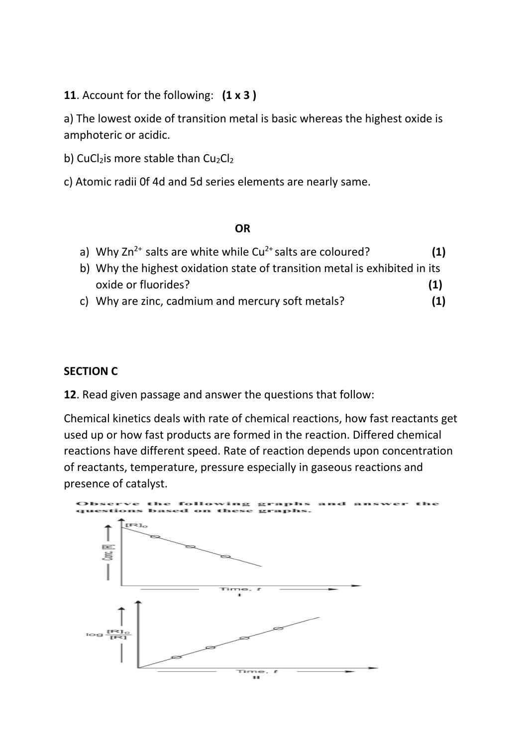**11**. Account for the following: **(1 x 3 )**

a) The lowest oxide of transition metal is basic whereas the highest oxide is amphoteric or acidic.

b) CuCl<sub>2</sub>is more stable than  $Cu<sub>2</sub>Cl<sub>2</sub>$ 

c) Atomic radii 0f 4d and 5d series elements are nearly same.

#### *OR* OR

| a) Why $2n^{2+}$ salts are white while $Cu^{2+}$ salts are coloured?       | (1) |
|----------------------------------------------------------------------------|-----|
| b) Why the highest oxidation state of transition metal is exhibited in its |     |
| oxide or fluorides?                                                        | (1) |

c) Why are zinc, cadmium and mercury soft metals? **(1)**

# **SECTION C**

**12**. Read given passage and answer the questions that follow:

Chemical kinetics deals with rate of chemical reactions, how fast reactants get used up or how fast products are formed in the reaction. Differed chemical reactions have different speed. Rate of reaction depends upon concentration of reactants, temperature, pressure especially in gaseous reactions and presence of catalyst.